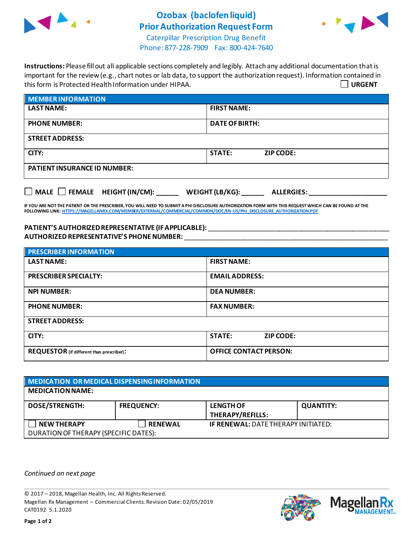

## **Ozobax (baclofen liquid) Prior Authorization Request Form**



Caterpillar Prescription Drug Benefit Phone: 877-228-7909 Fax: 800-424-7640

| Instructions: Please fill out all applicable sections completely and legibly. Attach any additional documentation that is |               |
|---------------------------------------------------------------------------------------------------------------------------|---------------|
| important for the review (e.g., chart notes or lab data, to support the authorization request). Information contained in  |               |
| this form is Protected Health Information under HIPAA.                                                                    | $\Box$ URGENT |

| <b>MEMBER INFORMATION</b>           |                            |  |
|-------------------------------------|----------------------------|--|
| <b>LAST NAME:</b>                   | <b>FIRST NAME:</b>         |  |
| <b>PHONE NUMBER:</b>                | <b>DATE OF BIRTH:</b>      |  |
| <b>STREET ADDRESS:</b>              |                            |  |
| CITY:                               | <b>STATE:</b><br>ZIP CODE: |  |
| <b>PATIENT INSURANCE ID NUMBER:</b> |                            |  |
|                                     |                            |  |

■ MALE ■ FEMALE HEIGHT (IN/CM): \_\_\_\_\_\_\_ WEIGHT (LB/KG): \_\_\_\_\_\_\_ ALLERGIES:

**IF YOU ARE NOT THE PATIENT OR THE PRESCRIBER, YOU WILL NEED TO SUBMIT A PHI DISCLOSURE AUTHORIZATION FORM WITH THIS REQUEST WHICH CAN BE FOUND AT THE FOLLOWING LINK[: HTTPS://MAGELLANRX.COM/MEMBER/EXTERNAL/COMMERCIAL/COMMON/DOC/EN-US/PHI\\_DISCLOSURE\\_AUTHORIZATION.PDF](https://magellanrx.com/member/external/commercial/common/doc/en-us/PHI_Disclosure_Authorization.pdf)**

## **PATIENT'S AUTHORIZEDREPRESENTATIVE (IF APPLICABLE):** \_\_\_\_\_\_\_\_\_\_\_\_\_\_\_\_\_\_\_\_\_\_\_\_\_\_\_\_\_\_\_\_\_\_\_\_\_\_\_\_\_\_\_\_\_\_\_\_\_ **AUTHORIZED REPRESENTATIVE'S PHONE NUMBER:** \_\_\_\_\_\_\_\_\_\_\_\_\_\_\_\_\_\_\_\_\_\_\_\_\_\_\_\_\_\_\_\_\_\_\_\_\_\_\_\_\_\_\_\_\_\_\_\_\_\_\_\_\_\_\_

| <b>PRESCRIBER INFORMATION</b>             |                               |  |
|-------------------------------------------|-------------------------------|--|
| <b>LAST NAME:</b>                         | <b>FIRST NAME:</b>            |  |
| <b>PRESCRIBER SPECIALTY:</b>              | <b>EMAIL ADDRESS:</b>         |  |
| <b>NPI NUMBER:</b>                        | <b>DEA NUMBER:</b>            |  |
| <b>PHONE NUMBER:</b>                      | <b>FAX NUMBER:</b>            |  |
| <b>STREET ADDRESS:</b>                    |                               |  |
| CITY:                                     | STATE:<br><b>ZIP CODE:</b>    |  |
| REQUESTOR (if different than prescriber): | <b>OFFICE CONTACT PERSON:</b> |  |

| MEDICATION OR MEDICAL DISPENSING INFORMATION                |                   |                                             |                  |  |  |
|-------------------------------------------------------------|-------------------|---------------------------------------------|------------------|--|--|
| <b>MEDICATION NAME:</b>                                     |                   |                                             |                  |  |  |
| <b>DOSE/STRENGTH:</b>                                       | <b>FREQUENCY:</b> | <b>LENGTH OF</b><br><b>THERAPY/REFILLS:</b> | <b>QUANTITY:</b> |  |  |
| <b>NEW THERAPY</b><br>DURATION OF THERAPY (SPECIFIC DATES): | <b>RENEWAL</b>    | <b>IF RENEWAL: DATE THERAPY INITIATED:</b>  |                  |  |  |

*Continued on next page*

© 2017 – 2018, Magellan Health, Inc. All Rights Reserved. Magellan Rx Management – Commercial Clients. Revision Date: 02/05/2019 CAT0192 5.1.2020